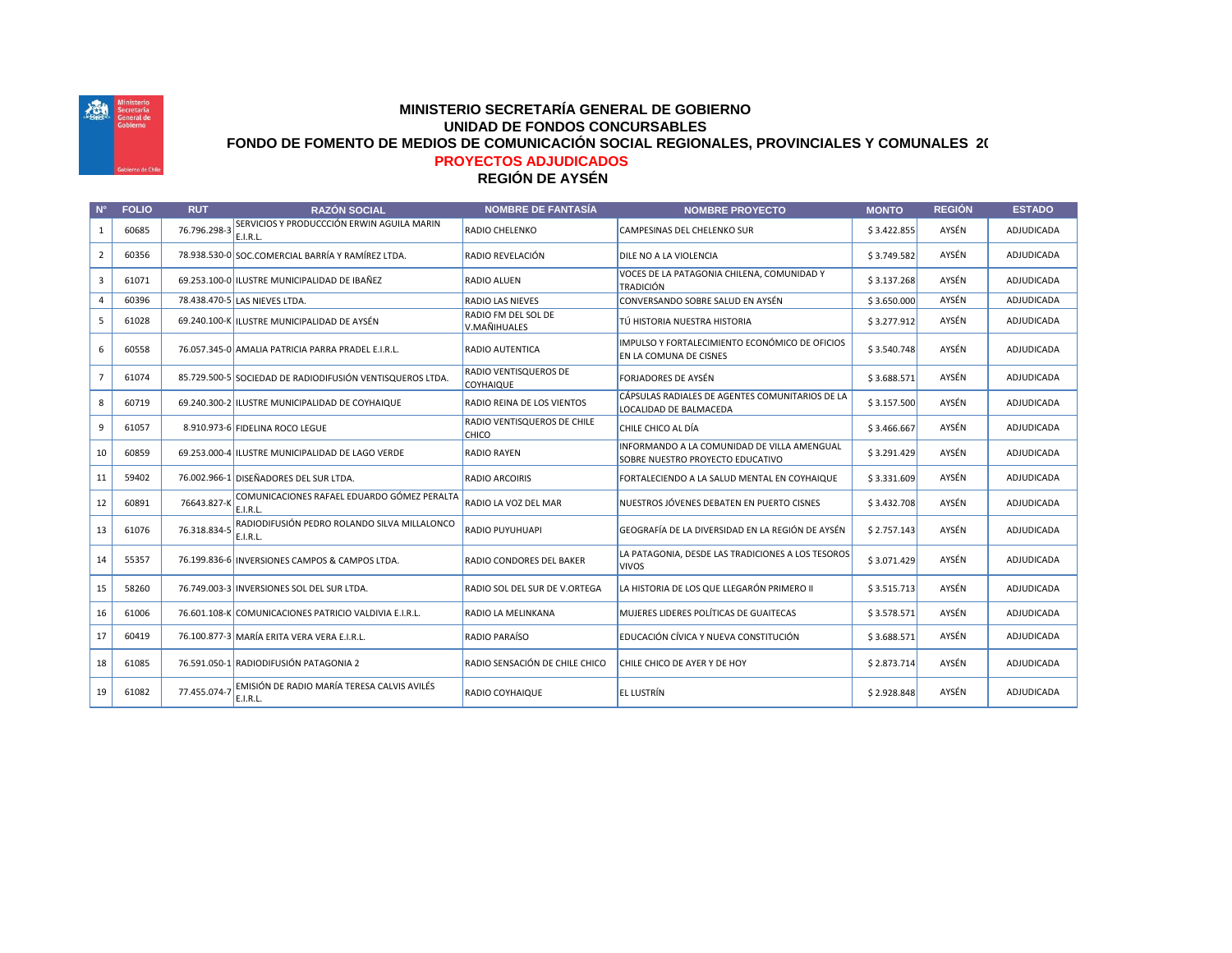

## **REGIÓN DE AYSÉN MINISTERIO SECRETARÍA GENERAL DE GOBIERNO UNIDAD DE FONDOS CONCURSABLES FONDO DE FOMENTO DE MEDIOS DE COMUNICACIÓN SOCIAL REGIONALES, PROVINCIALES Y COMUNALES 2022 PROYECTOS ADJUDICADOS**

## **N° FOLIO RUT RAZÓN SOCIAL NOMBRE DE FANTASÍA NOMBRE PROYECTO MONTO REGIÓN ESTADO** 1 60685 76.796.298-3 SERVICIOS Y PRODUCCCIÓN ERWIN AGUILA MARIN E.I.R.L. RADIO CHELENKO CAMPESINAS DEL CHELENKO SUR SALES ANSEN AVSÉN ADJUDICADA 2 60356 78.938.530-0 SOC.COMERCIAL BARRÍA Y RAMÍREZ LTDA. RADIO REVELACIÓN DILE NO A LA VIOLENCIA \$ 3.749.582 AYSÉN ADJUDICADA 3 61071 69.253.100-0 ILUSTRE MUNICIPALIDAD DE IBAÑEZ RADIO ALUEN VOCES DE LA PATAGONIA CHILENA, COMUNIDAD Y TRADICIÓN ADJUDICADA (COMOMENDE EN 1999) ANSÉN ADJUDICADA ESTADO ADDIDICADA 4 60396 78.438.470-5 LAS NIEVES LTDA. RADIO LAS NIEVES CONVERSANDO SOBRE SALUD EN AYSÉN \$ 3.650.000 AYSÉN ADJUDICADA 5 61028 69.240.100-K ILUSTRE MUNICIPALIDAD DE AYSÉN RADIO FM DEL SOL DE V.MAÑIHUALES TÚ HISTORIA NUESTRA HISTORIA \$ 3.277.912 AYSÉN ADJUDICADA 6 60558 76.057.345-0 AMALIA PATRICIA PARRA PRADEL E.I.R.L. RADIO AUTENTICA IMPULSO Y FORTALECIMIENTO ECONÓMICO DE OFICIOS EN LA COMUNA DE CISNES \$3.540.748 AYSÉN ADJUDICADA 7 61074 85.729.500-5 SOCIEDAD DE RADIODIFUSIÓN VENTISQUEROS LTDA. RADIO VENTISQUEROS DE **COYHAIQUE** FORJADORES DE AYSÉN \$ 3.688.571 AYSÉN ADJUDICADA 8 60719 69.240.300-2 ILUSTRE MUNICIPALIDAD DE COYHAIQUE RADIO REINA DE LOS VIENTOS CÁPSULAS RADIALES DE AGENTES COMUNITARIOS DE LA LOCALIDAD DE BALMACEDA \$ 3.157.500 AYSÉN ADJUDICADA 9 61057 8.910.973-6 FIDELINA ROCO LEGUE RADIO VENTISQUEROS DE CHILE **CHICO** CHILE CHICO AL DÍA **bitang ang pandatang katalang sa 1466.667** AYSÉN ADJUDICADA 10 60859 69.253.000-4 ILUSTRE MUNICIPALIDAD DE LAGO VERDE RADIO RAYEN INFORMANDO A LA COMUNIDAD DE VILLA AMENGUAL SOBRE NUESTRO PROYECTO EDUCATIVO \$ 3.291.429 AYSÉN ADJUDICADA 11 59402 76.002.966-1 DISEÑADORES DEL SUR LTDA. RADIO ARCOIRIS FORTALECIENDO A LA SALUD MENTAL EN COYHAIQUE \$3.331.609 AYSÉN ADJUDICADA <sup>12</sup> <sup>60891</sup> 76643.827-K COMUNICACIONES RAFAEL EDUARDO GÓMEZ PERALTA E.I.R.L. RADIO LA VOZ DEL MAR NUESTROS JÓVENES DEBATEN EN PUERTO CISNES \$ 3.432.708 AYSÉN ADJUDICADA 13 61076 76.318.834-5 RADIODIFUSIÓN PEDRO ROLANDO SILVA MILLALONCO E.I.R.L. RADIO PUYUHUAPI GEOGRAFÍA DE LA DIVERSIDAD EN LA REGIÓN DE AYSÉN \$ 2.757.143 AYSÉN ADJUDICADA 14 55357 76.199.836-6 INVERSIONES CAMPOS & CAMPOS LTDA. RADIO CONDORES DEL BAKER LA PATAGONIA, DESDE LAS TRADICIONES A LOS TESOROS VIVOS  $$ 3.071.429$  AYSÉN ADJUDICADA 15 58260 76.749.003-3 INVERSIONES SOL DEL SUR LTDA. RADIO SOL DEL SUR DE V.ORTEGA LA HISTORIA DE LOS QUE LLEGARÓN PRIMERO II \$ 3.515.713 AYSÉN ADJUDICADA 16 61006 76.601.108-K COMUNICACIONES PATRICIO VALDIVIA E.I.R.L. RADIO LA MELINKANA MUJERES LIDERES POLÍTICAS DE GUAITECAS \$ 3.578.571 AYSÉN ADJUDICADA 17 60419 76.100.877-3 MARÍA ERITA VERA VERA E.I.R.L. RADIO PARAÍSO EDUCACIÓN CÍVICA Y NUEVA CONSTITUCIÓN \$ 3.688.571 AYSÉN ADJUDICADA 18 61085 76.591.050-1 RADIODIFUSIÓN PATAGONIA 2 RADIO SENSACIÓN DE CHILE CHICO CHILE CHICO DE AYER Y DE HOY \$ 2.873.714 AYSÉN ADJUDICADA  $\begin{array}{|c|c|c|c|c|}\n\hline\n19 & 61082 & 77.455.074-7 & \text{EMISIÓN DE RADIO MARÍA TERESA CALVIS AVILÉS}\n\hline\n\end{array}$ E.I.R.L. RADIO COYHAIQUE **EL LUSTRÍN EL LUSTRÍN EL LUSTRÍN EL LESTE EL LUSTR**ÍN EL LESTE EL LUSTRÍN EL LESTE EL LESTE EL LE